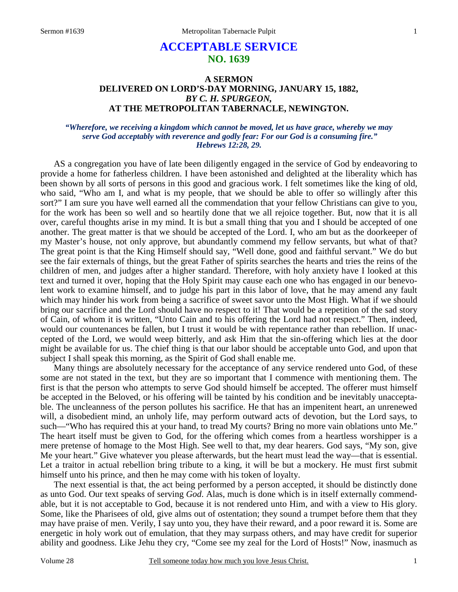# **ACCEPTABLE SERVICE NO. 1639**

## **A SERMON DELIVERED ON LORD'S-DAY MORNING, JANUARY 15, 1882,**  *BY C. H. SPURGEON,*  **AT THE METROPOLITAN TABERNACLE, NEWINGTON.**

### *"Wherefore, we receiving a kingdom which cannot be moved, let us have grace, whereby we may serve God acceptably with reverence and godly fear: For our God is a consuming fire." Hebrews 12:28, 29.*

AS a congregation you have of late been diligently engaged in the service of God by endeavoring to provide a home for fatherless children. I have been astonished and delighted at the liberality which has been shown by all sorts of persons in this good and gracious work. I felt sometimes like the king of old, who said, "Who am I, and what is my people, that we should be able to offer so willingly after this sort?" I am sure you have well earned all the commendation that your fellow Christians can give to you, for the work has been so well and so heartily done that we all rejoice together. But, now that it is all over, careful thoughts arise in my mind. It is but a small thing that you and I should be accepted of one another. The great matter is that we should be accepted of the Lord. I, who am but as the doorkeeper of my Master's house, not only approve, but abundantly commend my fellow servants, but what of that? The great point is that the King Himself should say, "Well done, good and faithful servant." We do but see the fair externals of things, but the great Father of spirits searches the hearts and tries the reins of the children of men, and judges after a higher standard. Therefore, with holy anxiety have I looked at this text and turned it over, hoping that the Holy Spirit may cause each one who has engaged in our benevolent work to examine himself, and to judge his part in this labor of love, that he may amend any fault which may hinder his work from being a sacrifice of sweet savor unto the Most High. What if we should bring our sacrifice and the Lord should have no respect to it! That would be a repetition of the sad story of Cain, of whom it is written, "Unto Cain and to his offering the Lord had not respect." Then, indeed, would our countenances be fallen, but I trust it would be with repentance rather than rebellion. If unaccepted of the Lord, we would weep bitterly, and ask Him that the sin-offering which lies at the door might be available for us. The chief thing is that our labor should be acceptable unto God, and upon that subject I shall speak this morning, as the Spirit of God shall enable me.

 Many things are absolutely necessary for the acceptance of any service rendered unto God, of these some are not stated in the text, but they are so important that I commence with mentioning them. The first is that the person who attempts to serve God should himself be accepted. The offerer must himself be accepted in the Beloved, or his offering will be tainted by his condition and be inevitably unacceptable. The uncleanness of the person pollutes his sacrifice. He that has an impenitent heart, an unrenewed will, a disobedient mind, an unholy life, may perform outward acts of devotion, but the Lord says, to such—"Who has required this at your hand, to tread My courts? Bring no more vain oblations unto Me." The heart itself must be given to God, for the offering which comes from a heartless worshipper is a mere pretense of homage to the Most High. See well to that, my dear hearers. God says, "My son, give Me your heart." Give whatever you please afterwards, but the heart must lead the way—that is essential. Let a traitor in actual rebellion bring tribute to a king, it will be but a mockery. He must first submit himself unto his prince, and then he may come with his token of loyalty.

 The next essential is that, the act being performed by a person accepted, it should be distinctly done as unto God. Our text speaks of serving *God*. Alas, much is done which is in itself externally commendable, but it is not acceptable to God, because it is not rendered unto Him, and with a view to His glory. Some, like the Pharisees of old, give alms out of ostentation; they sound a trumpet before them that they may have praise of men. Verily, I say unto you, they have their reward, and a poor reward it is. Some are energetic in holy work out of emulation, that they may surpass others, and may have credit for superior ability and goodness. Like Jehu they cry, "Come see my zeal for the Lord of Hosts!" Now, inasmuch as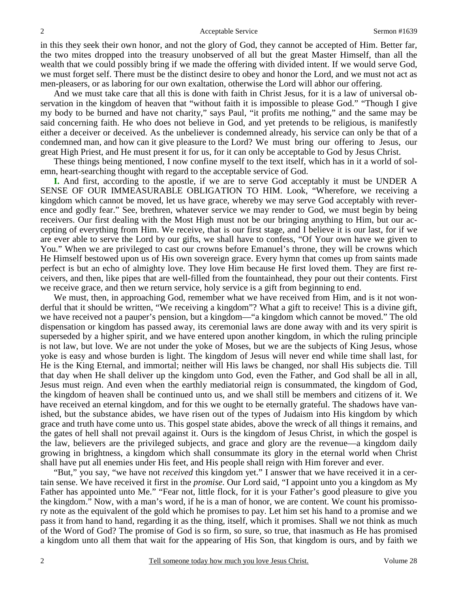in this they seek their own honor, and not the glory of God, they cannot be accepted of Him. Better far, the two mites dropped into the treasury unobserved of all but the great Master Himself, than all the wealth that we could possibly bring if we made the offering with divided intent. If we would serve God, we must forget self. There must be the distinct desire to obey and honor the Lord, and we must not act as men-pleasers, or as laboring for our own exaltation, otherwise the Lord will abhor our offering.

 And we must take care that all this is done with faith in Christ Jesus, for it is a law of universal observation in the kingdom of heaven that "without faith it is impossible to please God." "Though I give my body to be burned and have not charity," says Paul, "it profits me nothing," and the same may be said concerning faith. He who does not believe in God, and yet pretends to be religious, is manifestly either a deceiver or deceived. As the unbeliever is condemned already, his service can only be that of a condemned man, and how can it give pleasure to the Lord? We must bring our offering to Jesus, our great High Priest, and He must present it for us, for it can only be acceptable to God by Jesus Christ.

 These things being mentioned, I now confine myself to the text itself, which has in it a world of solemn, heart-searching thought with regard to the acceptable service of God.

**I.** And first, according to the apostle, if we are to serve God acceptably it must be UNDER A SENSE OF OUR IMMEASURABLE OBLIGATION TO HIM. Look, "Wherefore, we receiving a kingdom which cannot be moved, let us have grace, whereby we may serve God acceptably with reverence and godly fear." See, brethren, whatever service we may render to God, we must begin by being receivers. Our first dealing with the Most High must not be our bringing anything to Him, but our accepting of everything from Him. We receive, that is our first stage, and I believe it is our last, for if we are ever able to serve the Lord by our gifts, we shall have to confess, "Of Your own have we given to You." When we are privileged to cast our crowns before Emanuel's throne, they will be crowns which He Himself bestowed upon us of His own sovereign grace. Every hymn that comes up from saints made perfect is but an echo of almighty love. They love Him because He first loved them. They are first receivers, and then, like pipes that are well-filled from the fountainhead, they pour out their contents. First we receive grace, and then we return service, holy service is a gift from beginning to end.

We must, then, in approaching God, remember what we have received from Him, and is it not wonderful that it should be written, "We receiving a kingdom"? What a gift to receive! This is a divine gift, we have received not a pauper's pension, but a kingdom—"a kingdom which cannot be moved." The old dispensation or kingdom has passed away, its ceremonial laws are done away with and its very spirit is superseded by a higher spirit, and we have entered upon another kingdom, in which the ruling principle is not law, but love. We are not under the yoke of Moses, but we are the subjects of King Jesus, whose yoke is easy and whose burden is light. The kingdom of Jesus will never end while time shall last, for He is the King Eternal, and immortal; neither will His laws be changed, nor shall His subjects die. Till that day when He shall deliver up the kingdom unto God, even the Father, and God shall be all in all, Jesus must reign. And even when the earthly mediatorial reign is consummated, the kingdom of God, the kingdom of heaven shall be continued unto us, and we shall still be members and citizens of it. We have received an eternal kingdom, and for this we ought to be eternally grateful. The shadows have vanished, but the substance abides, we have risen out of the types of Judaism into His kingdom by which grace and truth have come unto us. This gospel state abides, above the wreck of all things it remains, and the gates of hell shall not prevail against it. Ours is the kingdom of Jesus Christ, in which the gospel is the law, believers are the privileged subjects, and grace and glory are the revenue—a kingdom daily growing in brightness, a kingdom which shall consummate its glory in the eternal world when Christ shall have put all enemies under His feet, and His people shall reign with Him forever and ever.

 "But," you say, "we have not *received* this kingdom yet." I answer that we have received it in a certain sense. We have received it first in the *promise*. Our Lord said, "I appoint unto you a kingdom as My Father has appointed unto Me." "Fear not, little flock, for it is your Father's good pleasure to give you the kingdom." Now, with a man's word, if he is a man of honor, we are content. We count his promissory note as the equivalent of the gold which he promises to pay. Let him set his hand to a promise and we pass it from hand to hand, regarding it as the thing, itself, which it promises. Shall we not think as much of the Word of God? The promise of God is so firm, so sure, so true, that inasmuch as He has promised a kingdom unto all them that wait for the appearing of His Son, that kingdom is ours, and by faith we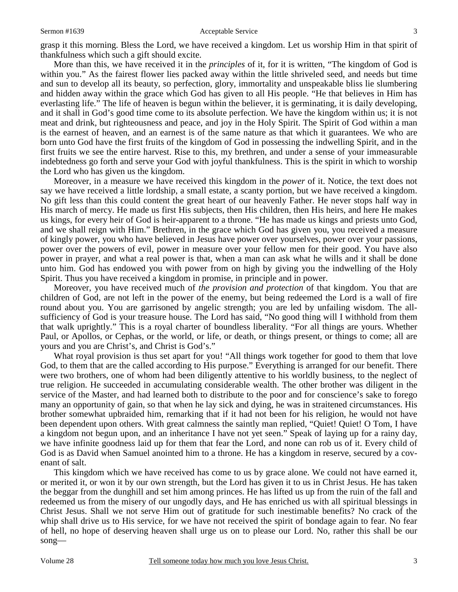grasp it this morning. Bless the Lord, we have received a kingdom. Let us worship Him in that spirit of thankfulness which such a gift should excite.

 More than this, we have received it in the *principles* of it, for it is written, "The kingdom of God is within you." As the fairest flower lies packed away within the little shriveled seed, and needs but time and sun to develop all its beauty, so perfection, glory, immortality and unspeakable bliss lie slumbering and hidden away within the grace which God has given to all His people. "He that believes in Him has everlasting life." The life of heaven is begun within the believer, it is germinating, it is daily developing, and it shall in God's good time come to its absolute perfection. We have the kingdom within us; it is not meat and drink, but righteousness and peace, and joy in the Holy Spirit. The Spirit of God within a man is the earnest of heaven, and an earnest is of the same nature as that which it guarantees. We who are born unto God have the first fruits of the kingdom of God in possessing the indwelling Spirit, and in the first fruits we see the entire harvest. Rise to this, my brethren, and under a sense of your immeasurable indebtedness go forth and serve your God with joyful thankfulness. This is the spirit in which to worship the Lord who has given us the kingdom.

 Moreover, in a measure we have received this kingdom in the *power* of it. Notice, the text does not say we have received a little lordship, a small estate, a scanty portion, but we have received a kingdom. No gift less than this could content the great heart of our heavenly Father. He never stops half way in His march of mercy. He made us first His subjects, then His children, then His heirs, and here He makes us kings, for every heir of God is heir-apparent to a throne. "He has made us kings and priests unto God, and we shall reign with Him." Brethren, in the grace which God has given you, you received a measure of kingly power, you who have believed in Jesus have power over yourselves, power over your passions, power over the powers of evil, power in measure over your fellow men for their good. You have also power in prayer, and what a real power is that, when a man can ask what he wills and it shall be done unto him. God has endowed you with power from on high by giving you the indwelling of the Holy Spirit. Thus you have received a kingdom in promise, in principle and in power.

 Moreover, you have received much of *the provision and protection* of that kingdom. You that are children of God, are not left in the power of the enemy, but being redeemed the Lord is a wall of fire round about you. You are garrisoned by angelic strength; you are led by unfailing wisdom. The allsufficiency of God is your treasure house. The Lord has said, "No good thing will I withhold from them that walk uprightly." This is a royal charter of boundless liberality. "For all things are yours. Whether Paul, or Apollos, or Cephas, or the world, or life, or death, or things present, or things to come; all are yours and you are Christ's, and Christ is God's."

 What royal provision is thus set apart for you! "All things work together for good to them that love God, to them that are the called according to His purpose." Everything is arranged for our benefit. There were two brothers, one of whom had been diligently attentive to his worldly business, to the neglect of true religion. He succeeded in accumulating considerable wealth. The other brother was diligent in the service of the Master, and had learned both to distribute to the poor and for conscience's sake to forego many an opportunity of gain, so that when he lay sick and dying, he was in straitened circumstances. His brother somewhat upbraided him, remarking that if it had not been for his religion, he would not have been dependent upon others. With great calmness the saintly man replied, "Quiet! Quiet! O Tom, I have a kingdom not begun upon, and an inheritance I have not yet seen." Speak of laying up for a rainy day, we have infinite goodness laid up for them that fear the Lord, and none can rob us of it. Every child of God is as David when Samuel anointed him to a throne. He has a kingdom in reserve, secured by a covenant of salt.

 This kingdom which we have received has come to us by grace alone. We could not have earned it, or merited it, or won it by our own strength, but the Lord has given it to us in Christ Jesus. He has taken the beggar from the dunghill and set him among princes. He has lifted us up from the ruin of the fall and redeemed us from the misery of our ungodly days, and He has enriched us with all spiritual blessings in Christ Jesus. Shall we not serve Him out of gratitude for such inestimable benefits? No crack of the whip shall drive us to His service, for we have not received the spirit of bondage again to fear. No fear of hell, no hope of deserving heaven shall urge us on to please our Lord. No, rather this shall be our song—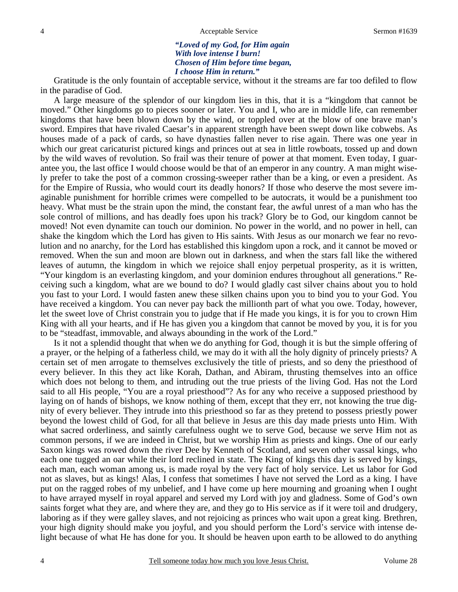*"Loved of my God, for Him again With love intense I burn! Chosen of Him before time began, I choose Him in return."* 

 Gratitude is the only fountain of acceptable service, without it the streams are far too defiled to flow in the paradise of God.

 A large measure of the splendor of our kingdom lies in this, that it is a "kingdom that cannot be moved." Other kingdoms go to pieces sooner or later. You and I, who are in middle life, can remember kingdoms that have been blown down by the wind, or toppled over at the blow of one brave man's sword. Empires that have rivaled Caesar's in apparent strength have been swept down like cobwebs. As houses made of a pack of cards, so have dynasties fallen never to rise again. There was one year in which our great caricaturist pictured kings and princes out at sea in little rowboats, tossed up and down by the wild waves of revolution. So frail was their tenure of power at that moment. Even today, I guarantee you, the last office I would choose would be that of an emperor in any country. A man might wisely prefer to take the post of a common crossing-sweeper rather than be a king, or even a president. As for the Empire of Russia, who would court its deadly honors? If those who deserve the most severe imaginable punishment for horrible crimes were compelled to be autocrats, it would be a punishment too heavy. What must be the strain upon the mind, the constant fear, the awful unrest of a man who has the sole control of millions, and has deadly foes upon his track? Glory be to God, our kingdom cannot be moved! Not even dynamite can touch our dominion. No power in the world, and no power in hell, can shake the kingdom which the Lord has given to His saints. With Jesus as our monarch we fear no revolution and no anarchy, for the Lord has established this kingdom upon a rock, and it cannot be moved or removed. When the sun and moon are blown out in darkness, and when the stars fall like the withered leaves of autumn, the kingdom in which we rejoice shall enjoy perpetual prosperity, as it is written, "Your kingdom is an everlasting kingdom, and your dominion endures throughout all generations." Receiving such a kingdom, what are we bound to do? I would gladly cast silver chains about you to hold you fast to your Lord. I would fasten anew these silken chains upon you to bind you to your God. You have received a kingdom. You can never pay back the millionth part of what you owe. Today, however, let the sweet love of Christ constrain you to judge that if He made you kings, it is for you to crown Him King with all your hearts, and if He has given you a kingdom that cannot be moved by you, it is for you to be "steadfast, immovable, and always abounding in the work of the Lord."

 Is it not a splendid thought that when we do anything for God, though it is but the simple offering of a prayer, or the helping of a fatherless child, we may do it with all the holy dignity of princely priests? A certain set of men arrogate to themselves exclusively the title of priests, and so deny the priesthood of every believer. In this they act like Korah, Dathan, and Abiram, thrusting themselves into an office which does not belong to them, and intruding out the true priests of the living God. Has not the Lord said to all His people, "You are a royal priesthood"? As for any who receive a supposed priesthood by laying on of hands of bishops, we know nothing of them, except that they err, not knowing the true dignity of every believer. They intrude into this priesthood so far as they pretend to possess priestly power beyond the lowest child of God, for all that believe in Jesus are this day made priests unto Him. With what sacred orderliness, and saintly carefulness ought we to serve God, because we serve Him not as common persons, if we are indeed in Christ, but we worship Him as priests and kings. One of our early Saxon kings was rowed down the river Dee by Kenneth of Scotland, and seven other vassal kings, who each one tugged an oar while their lord reclined in state. The King of kings this day is served by kings, each man, each woman among us, is made royal by the very fact of holy service. Let us labor for God not as slaves, but as kings! Alas, I confess that sometimes I have not served the Lord as a king. I have put on the ragged robes of my unbelief, and I have come up here mourning and groaning when I ought to have arrayed myself in royal apparel and served my Lord with joy and gladness. Some of God's own saints forget what they are, and where they are, and they go to His service as if it were toil and drudgery, laboring as if they were galley slaves, and not rejoicing as princes who wait upon a great king. Brethren, your high dignity should make you joyful, and you should perform the Lord's service with intense delight because of what He has done for you. It should be heaven upon earth to be allowed to do anything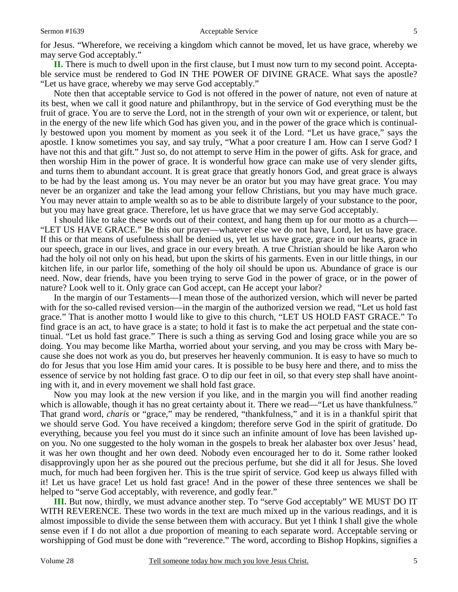for Jesus. "Wherefore, we receiving a kingdom which cannot be moved, let us have grace, whereby we may serve God acceptably."

**II.** There is much to dwell upon in the first clause, but I must now turn to my second point. Acceptable service must be rendered to God IN THE POWER OF DIVINE GRACE. What says the apostle? "Let us have grace, whereby we may serve God acceptably."

 Note then that acceptable service to God is not offered in the power of nature, not even of nature at its best, when we call it good nature and philanthropy, but in the service of God everything must be the fruit of grace. You are to serve the Lord, not in the strength of your own wit or experience, or talent, but in the energy of the new life which God has given you, and in the power of the grace which is continually bestowed upon you moment by moment as you seek it of the Lord. "Let us have grace," says the apostle. I know sometimes you say, and say truly, "What a poor creature I am. How can I serve God? I have not this and that gift." Just so, do not attempt to serve Him in the power of gifts. Ask for grace, and then worship Him in the power of grace. It is wonderful how grace can make use of very slender gifts, and turns them to abundant account. It is great grace that greatly honors God, and great grace is always to be had by the least among us. You may never be an orator but you may have great grace. You may never be an organizer and take the lead among your fellow Christians, but you may have much grace. You may never attain to ample wealth so as to be able to distribute largely of your substance to the poor, but you may have great grace. Therefore, let us have grace that we may serve God acceptably.

 I should like to take these words out of their context, and hang them up for our motto as a church— "LET US HAVE GRACE." Be this our prayer—whatever else we do not have, Lord, let us have grace. If this or that means of usefulness shall be denied us, yet let us have grace, grace in our hearts, grace in our speech, grace in our lives, and grace in our every breath. A true Christian should be like Aaron who had the holy oil not only on his head, but upon the skirts of his garments. Even in our little things, in our kitchen life, in our parlor life, something of the holy oil should be upon us. Abundance of grace is our need. Now, dear friends, have you been trying to serve God in the power of grace, or in the power of nature? Look well to it. Only grace can God accept, can He accept your labor?

 In the margin of our Testaments—I mean those of the authorized version, which will never be parted with for the so-called revised version—in the margin of the authorized version we read, "Let us hold fast grace." That is another motto I would like to give to this church, "LET US HOLD FAST GRACE." To find grace is an act, to have grace is a state; to hold it fast is to make the act perpetual and the state continual. "Let us hold fast grace." There is such a thing as serving God and losing grace while you are so doing. You may become like Martha, worried about your serving, and you may be cross with Mary because she does not work as you do, but preserves her heavenly communion. It is easy to have so much to do for Jesus that you lose Him amid your cares. It is possible to be busy here and there, and to miss the essence of service by not holding fast grace. O to dip our feet in oil, so that every step shall have anointing with it, and in every movement we shall hold fast grace.

 Now you may look at the new version if you like, and in the margin you will find another reading which is allowable, though it has no great certainty about it. There we read—"Let us have thankfulness." That grand word, *charis* or "grace," may be rendered, "thankfulness," and it is in a thankful spirit that we should serve God. You have received a kingdom; therefore serve God in the spirit of gratitude. Do everything, because you feel you must do it since such an infinite amount of love has been lavished upon you. No one suggested to the holy woman in the gospels to break her alabaster box over Jesus' head, it was her own thought and her own deed. Nobody even encouraged her to do it. Some rather looked disapprovingly upon her as she poured out the precious perfume, but she did it all for Jesus. She loved much, for much had been forgiven her. This is the true spirit of service. God keep us always filled with it! Let us have grace! Let us hold fast grace! And in the power of these three sentences we shall be helped to "serve God acceptably, with reverence, and godly fear."

**III.** But now, thirdly, we must advance another step. To "serve God acceptably" WE MUST DO IT WITH REVERENCE. These two words in the text are much mixed up in the various readings, and it is almost impossible to divide the sense between them with accuracy. But yet I think I shall give the whole sense even if I do not allot a due proportion of meaning to each separate word. Acceptable serving or worshipping of God must be done with "reverence." The word, according to Bishop Hopkins, signifies a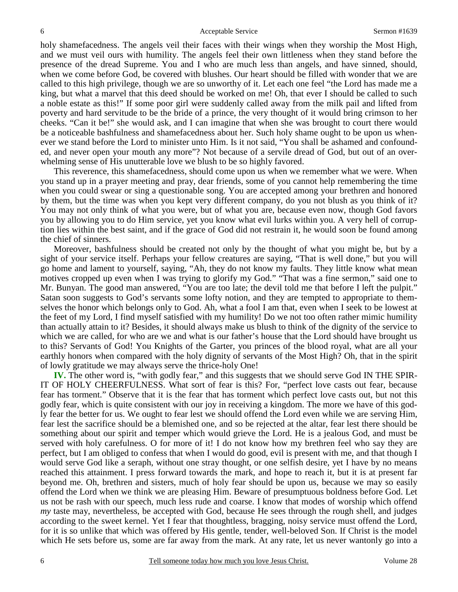holy shamefacedness. The angels veil their faces with their wings when they worship the Most High, and we must veil ours with humility. The angels feel their own littleness when they stand before the presence of the dread Supreme. You and I who are much less than angels, and have sinned, should, when we come before God, be covered with blushes. Our heart should be filled with wonder that we are called to this high privilege, though we are so unworthy of it. Let each one feel "the Lord has made me a king, but what a marvel that this deed should be worked on me! Oh, that ever I should be called to such a noble estate as this!" If some poor girl were suddenly called away from the milk pail and lifted from poverty and hard servitude to be the bride of a prince, the very thought of it would bring crimson to her cheeks. "Can it be!" she would ask, and I can imagine that when she was brought to court there would be a noticeable bashfulness and shamefacedness about her. Such holy shame ought to be upon us whenever we stand before the Lord to minister unto Him. Is it not said, "You shall be ashamed and confounded, and never open your mouth any more"? Not because of a servile dread of God, but out of an overwhelming sense of His unutterable love we blush to be so highly favored.

 This reverence, this shamefacedness, should come upon us when we remember what we were. When you stand up in a prayer meeting and pray, dear friends, some of you cannot help remembering the time when you could swear or sing a questionable song. You are accepted among your brethren and honored by them, but the time was when you kept very different company, do you not blush as you think of it? You may not only think of what you were, but of what you are, because even now, though God favors you by allowing you to do Him service, yet you know what evil lurks within you. A very hell of corruption lies within the best saint, and if the grace of God did not restrain it, he would soon be found among the chief of sinners.

 Moreover, bashfulness should be created not only by the thought of what you might be, but by a sight of your service itself. Perhaps your fellow creatures are saying, "That is well done," but you will go home and lament to yourself, saying, "Ah, they do not know my faults. They little know what mean motives cropped up even when I was trying to glorify my God." "That was a fine sermon," said one to Mr. Bunyan. The good man answered, "You are too late; the devil told me that before I left the pulpit." Satan soon suggests to God's servants some lofty notion, and they are tempted to appropriate to themselves the honor which belongs only to God. Ah, what a fool I am that, even when I seek to be lowest at the feet of my Lord, I find myself satisfied with my humility! Do we not too often rather mimic humility than actually attain to it? Besides, it should always make us blush to think of the dignity of the service to which we are called, for who are we and what is our father's house that the Lord should have brought us to this? Servants of God! You Knights of the Garter, you princes of the blood royal, what are all your earthly honors when compared with the holy dignity of servants of the Most High? Oh, that in the spirit of lowly gratitude we may always serve the thrice-holy One!

**IV.** The other word is, "with godly fear," and this suggests that we should serve God IN THE SPIR-IT OF HOLY CHEERFULNESS. What sort of fear is this? For, "perfect love casts out fear, because fear has torment." Observe that it is the fear that has torment which perfect love casts out, but not this godly fear, which is quite consistent with our joy in receiving a kingdom. The more we have of this godly fear the better for us. We ought to fear lest we should offend the Lord even while we are serving Him, fear lest the sacrifice should be a blemished one, and so be rejected at the altar, fear lest there should be something about our spirit and temper which would grieve the Lord. He is a jealous God, and must be served with holy carefulness. O for more of it! I do not know how my brethren feel who say they are perfect, but I am obliged to confess that when I would do good, evil is present with me, and that though I would serve God like a seraph, without one stray thought, or one selfish desire, yet I have by no means reached this attainment. I press forward towards the mark, and hope to reach it, but it is at present far beyond me. Oh, brethren and sisters, much of holy fear should be upon us, because we may so easily offend the Lord when we think we are pleasing Him. Beware of presumptuous boldness before God. Let us not be rash with our speech, much less rude and coarse. I know that modes of worship which offend *my* taste may, nevertheless, be accepted with God, because He sees through the rough shell, and judges according to the sweet kernel. Yet I fear that thoughtless, bragging, noisy service must offend the Lord, for it is so unlike that which was offered by His gentle, tender, well-beloved Son. If Christ is the model which He sets before us, some are far away from the mark. At any rate, let us never wantonly go into a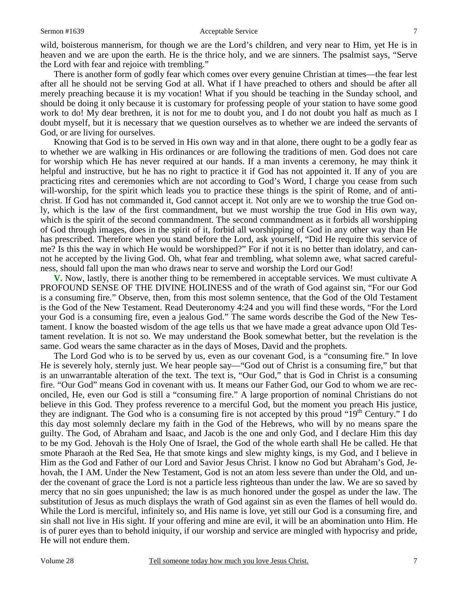wild, boisterous mannerism, for though we are the Lord's children, and very near to Him, yet He is in heaven and we are upon the earth. He is the thrice holy, and we are sinners. The psalmist says, "Serve the Lord with fear and rejoice with trembling."

 There is another form of godly fear which comes over every genuine Christian at times—the fear lest after all he should not be serving God at all. What if I have preached to others and should be after all merely preaching because it is my vocation! What if you should be teaching in the Sunday school, and should be doing it only because it is customary for professing people of your station to have some good work to do! My dear brethren, it is not for me to doubt you, and I do not doubt you half as much as I doubt myself, but it is necessary that we question ourselves as to whether we are indeed the servants of God, or are living for ourselves.

 Knowing that God is to be served in His own way and in that alone, there ought to be a godly fear as to whether we are walking in His ordinances or are following the traditions of men. God does not care for worship which He has never required at our hands. If a man invents a ceremony, he may think it helpful and instructive, but he has no right to practice it if God has not appointed it. If any of you are practicing rites and ceremonies which are not according to God's Word, I charge you cease from such will-worship, for the spirit which leads you to practice these things is the spirit of Rome, and of antichrist. If God has not commanded it, God cannot accept it. Not only are we to worship the true God only, which is the law of the first commandment, but we must worship the true God in His own way, which is the spirit of the second commandment. The second commandment as it forbids all worshipping of God through images, does in the spirit of it, forbid all worshipping of God in any other way than He has prescribed. Therefore when you stand before the Lord, ask yourself, "Did He require this service of me? Is this the way in which He would be worshipped?" For if not it is no better than idolatry, and cannot he accepted by the living God. Oh, what fear and trembling, what solemn awe, what sacred carefulness, should fall upon the man who draws near to serve and worship the Lord our God!

**V.** Now, lastly, there is another thing to be remembered in acceptable services. We must cultivate A PROFOUND SENSE OF THE DIVINE HOLINESS and of the wrath of God against sin, "For our God is a consuming fire." Observe, then, from this most solemn sentence, that the God of the Old Testament is the God of the New Testament. Read Deuteronomy 4:24 and you will find these words, "For the Lord your God is a consuming fire, even a jealous God." The same words describe the God of the New Testament. I know the boasted wisdom of the age tells us that we have made a great advance upon Old Testament revelation. It is not so. We may understand the Book somewhat better, but the revelation is the same. God wears the same character as in the days of Moses, David and the prophets.

 The Lord God who is to be served by us, even as our covenant God, is a "consuming fire." In love He is severely holy, sternly just. We hear people say—"God out of Christ is a consuming fire," but that is an unwarrantable alteration of the text. The text is, "Our God," that is God in Christ is a consuming fire. "Our God" means God in covenant with us. It means our Father God, our God to whom we are reconciled, He, even our God is still a "consuming fire." A large proportion of nominal Christians do not believe in this God. They profess reverence to a merciful God, but the moment you preach His justice, they are indignant. The God who is a consuming fire is not accepted by this proud " $19<sup>th</sup>$  Century." I do this day most solemnly declare my faith in the God of the Hebrews, who will by no means spare the guilty. The God, of Abraham and Isaac, and Jacob is the one and only God, and I declare Him this day to be my God. Jehovah is the Holy One of Israel, the God of the whole earth shall He be called. He that smote Pharaoh at the Red Sea, He that smote kings and slew mighty kings, is my God, and I believe in Him as the God and Father of our Lord and Savior Jesus Christ. I know no God but Abraham's God, Jehovah, the I AM. Under the New Testament, God is not an atom less severe than under the Old, and under the covenant of grace the Lord is not a particle less righteous than under the law. We are so saved by mercy that no sin goes unpunished; the law is as much honored under the gospel as under the law. The substitution of Jesus as much displays the wrath of God against sin as even the flames of hell would do. While the Lord is merciful, infinitely so, and His name is love, yet still our God is a consuming fire, and sin shall not live in His sight. If your offering and mine are evil, it will be an abomination unto Him. He is of purer eyes than to behold iniquity, if our worship and service are mingled with hypocrisy and pride, He will not endure them.